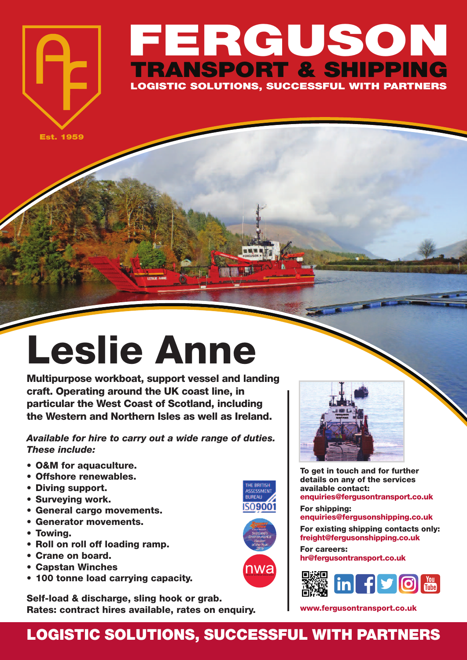## **FERGUSON TRANSPORT & SHIPPING LOGISTIC SOLUTIONS, SUCCESSFUL WITH PARTNERS**

**Est. 1959**

## **Leslie Anne**

**Multipurpose workboat, support vessel and landing craft. Operating around the UK coast line, in particular the West Coast of Scotland, including the Western and Northern Isles as well as Ireland.**

*Available for hire to carry out a wide range of duties. These include:*

- **• O&M for aquaculture.**
- **• Offshore renewables.**
- **• Diving support.**
- **• Surveying work.**
- **• General cargo movements.**
- **• Generator movements.**
- **• Towing.**
- **• Roll on roll off loading ramp.**
- **• Crane on board.**
- **• Capstan Winches**
- **• 100 tonne load carrying capacity.**

**Self-load & discharge, sling hook or grab. Rates: contract hires available, rates on enquiry.**



**To get in touch and for further details on any of the services available contact: enquiries@fergusontransport.co.uk**

**For shipping: enquiries@fergusonshipping.co.uk**

**For existing shipping contacts only: freight@fergusonshipping.co.uk**

**For careers: hr@fergusontransport.co.uk**



**www.fergusontransport.co.uk**

## **LOGISTIC SOLUTIONS, SUCCESSFUL WITH PARTNERS**

nwa

THE BRITISH<br>ASSESSMEN **BUREAU ISO9001**